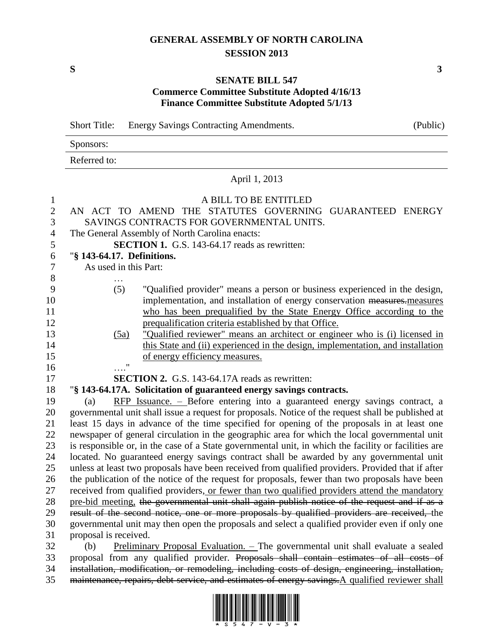# **GENERAL ASSEMBLY OF NORTH CAROLINA SESSION 2013**

## **SENATE BILL 547 Commerce Committee Substitute Adopted 4/16/13 Finance Committee Substitute Adopted 5/1/13**

Short Title: Energy Savings Contracting Amendments. (Public) Sponsors: Referred to: April 1, 2013 A BILL TO BE ENTITLED AN ACT TO AMEND THE STATUTES GOVERNING GUARANTEED ENERGY SAVINGS CONTRACTS FOR GOVERNMENTAL UNITS. The General Assembly of North Carolina enacts: **SECTION 1.** G.S. 143-64.17 reads as rewritten: "**§ 143-64.17. Definitions.** As used in this Part: … (5) "Qualified provider" means a person or business experienced in the design, 10 implementation, and installation of energy conservation measures.measures who has been prequalified by the State Energy Office according to the prequalification criteria established by that Office. (5a) "Qualified reviewer" means an architect or engineer who is (i) licensed in 14 this State and (ii) experienced in the design, implementation, and installation of energy efficiency measures. …." **SECTION 2.** G.S. 143-64.17A reads as rewritten: "**§ 143-64.17A. Solicitation of guaranteed energy savings contracts.** (a) RFP Issuance. – Before entering into a guaranteed energy savings contract, a governmental unit shall issue a request for proposals. Notice of the request shall be published at least 15 days in advance of the time specified for opening of the proposals in at least one newspaper of general circulation in the geographic area for which the local governmental unit is responsible or, in the case of a State governmental unit, in which the facility or facilities are located. No guaranteed energy savings contract shall be awarded by any governmental unit unless at least two proposals have been received from qualified providers. Provided that if after the publication of the notice of the request for proposals, fewer than two proposals have been received from qualified providers, or fewer than two qualified providers attend the mandatory 28 pre-bid meeting, the governmental unit shall again publish notice of the request and if as a result of the second notice, one or more proposals by qualified providers are received, the governmental unit may then open the proposals and select a qualified provider even if only one proposal is received. (b) Preliminary Proposal Evaluation. – The governmental unit shall evaluate a sealed proposal from any qualified provider. Proposals shall contain estimates of all costs of installation, modification, or remodeling, including costs of design, engineering, installation,



maintenance, repairs, debt service, and estimates of energy savings.A qualified reviewer shall

**S 3**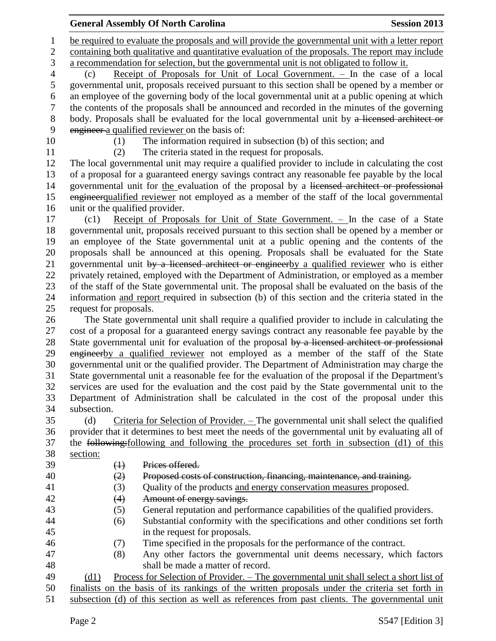be required to evaluate the proposals and will provide the governmental unit with a letter report 2 containing both qualitative and quantitative evaluation of the proposals. The report may include a recommendation for selection, but the governmental unit is not obligated to follow it. (c) Receipt of Proposals for Unit of Local Government. – In the case of a local governmental unit, proposals received pursuant to this section shall be opened by a member or an employee of the governing body of the local governmental unit at a public opening at which the contents of the proposals shall be announced and recorded in the minutes of the governing 8 body. Proposals shall be evaluated for the local governmental unit by a licensed architect or engineer a qualified reviewer on the basis of: (1) The information required in subsection (b) of this section; and (2) The criteria stated in the request for proposals. The local governmental unit may require a qualified provider to include in calculating the cost of a proposal for a guaranteed energy savings contract any reasonable fee payable by the local governmental unit for the evaluation of the proposal by a licensed architect or professional 15 engineer qualified reviewer not employed as a member of the staff of the local governmental unit or the qualified provider. (c1) Receipt of Proposals for Unit of State Government. – In the case of a State governmental unit, proposals received pursuant to this section shall be opened by a member or an employee of the State governmental unit at a public opening and the contents of the proposals shall be announced at this opening. Proposals shall be evaluated for the State 21 governmental unit by a licensed architect or engineerby a qualified reviewer who is either privately retained, employed with the Department of Administration, or employed as a member of the staff of the State governmental unit. The proposal shall be evaluated on the basis of the

 information and report required in subsection (b) of this section and the criteria stated in the request for proposals.

 The State governmental unit shall require a qualified provider to include in calculating the cost of a proposal for a guaranteed energy savings contract any reasonable fee payable by the 28 State governmental unit for evaluation of the proposal by a licensed architect or professional engineerby a qualified reviewer not employed as a member of the staff of the State governmental unit or the qualified provider. The Department of Administration may charge the State governmental unit a reasonable fee for the evaluation of the proposal if the Department's services are used for the evaluation and the cost paid by the State governmental unit to the Department of Administration shall be calculated in the cost of the proposal under this subsection.

 (d) Criteria for Selection of Provider. – The governmental unit shall select the qualified provider that it determines to best meet the needs of the governmental unit by evaluating all of the following:following and following the procedures set forth in subsection (d1) of this section:

- (1) Prices offered.
- 

- (2) Proposed costs of construction, financing, maintenance, and training.
- (3) Quality of the products and energy conservation measures proposed.
- 42 (4) Amount of energy savings.
- (5) General reputation and performance capabilities of the qualified providers.
- (6) Substantial conformity with the specifications and other conditions set forth
- in the request for proposals.
- (7) Time specified in the proposals for the performance of the contract.
- (8) Any other factors the governmental unit deems necessary, which factors shall be made a matter of record.

 (d1) Process for Selection of Provider. – The governmental unit shall select a short list of finalists on the basis of its rankings of the written proposals under the criteria set forth in

subsection (d) of this section as well as references from past clients. The governmental unit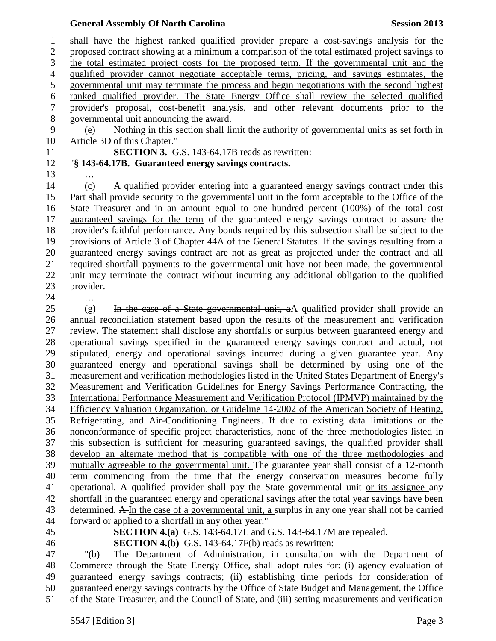shall have the highest ranked qualified provider prepare a cost-savings analysis for the proposed contract showing at a minimum a comparison of the total estimated project savings to the total estimated project costs for the proposed term. If the governmental unit and the qualified provider cannot negotiate acceptable terms, pricing, and savings estimates, the governmental unit may terminate the process and begin negotiations with the second highest ranked qualified provider. The State Energy Office shall review the selected qualified provider's proposal, cost-benefit analysis, and other relevant documents prior to the governmental unit announcing the award.

 (e) Nothing in this section shall limit the authority of governmental units as set forth in Article 3D of this Chapter."

**SECTION 3.** G.S. 143-64.17B reads as rewritten:

## "**§ 143-64.17B. Guaranteed energy savings contracts.**

…

 (c) A qualified provider entering into a guaranteed energy savings contract under this Part shall provide security to the governmental unit in the form acceptable to the Office of the State Treasurer and in an amount equal to one hundred percent (100%) of the total cost guaranteed savings for the term of the guaranteed energy savings contract to assure the provider's faithful performance. Any bonds required by this subsection shall be subject to the provisions of Article 3 of Chapter 44A of the General Statutes. If the savings resulting from a guaranteed energy savings contract are not as great as projected under the contract and all required shortfall payments to the governmental unit have not been made, the governmental unit may terminate the contract without incurring any additional obligation to the qualified provider.

…

 (g) In the case of a State governmental unit, aA qualified provider shall provide an annual reconciliation statement based upon the results of the measurement and verification review. The statement shall disclose any shortfalls or surplus between guaranteed energy and operational savings specified in the guaranteed energy savings contract and actual, not stipulated, energy and operational savings incurred during a given guarantee year. Any guaranteed energy and operational savings shall be determined by using one of the measurement and verification methodologies listed in the United States Department of Energy's Measurement and Verification Guidelines for Energy Savings Performance Contracting, the International Performance Measurement and Verification Protocol (IPMVP) maintained by the Efficiency Valuation Organization, or Guideline 14-2002 of the American Society of Heating, Refrigerating, and Air-Conditioning Engineers. If due to existing data limitations or the nonconformance of specific project characteristics, none of the three methodologies listed in this subsection is sufficient for measuring guaranteed savings, the qualified provider shall develop an alternate method that is compatible with one of the three methodologies and mutually agreeable to the governmental unit. The guarantee year shall consist of a 12-month term commencing from the time that the energy conservation measures become fully 41 operational. A qualified provider shall pay the State-governmental unit or its assignee any shortfall in the guaranteed energy and operational savings after the total year savings have been determined. A In the case of a governmental unit, a surplus in any one year shall not be carried forward or applied to a shortfall in any other year."

**SECTION 4.(a)** G.S. 143-64.17L and G.S. 143-64.17M are repealed.

**SECTION 4.(b)** G.S. 143-64.17F(b) reads as rewritten:

 "(b) The Department of Administration, in consultation with the Department of Commerce through the State Energy Office, shall adopt rules for: (i) agency evaluation of guaranteed energy savings contracts; (ii) establishing time periods for consideration of guaranteed energy savings contracts by the Office of State Budget and Management, the Office of the State Treasurer, and the Council of State, and (iii) setting measurements and verification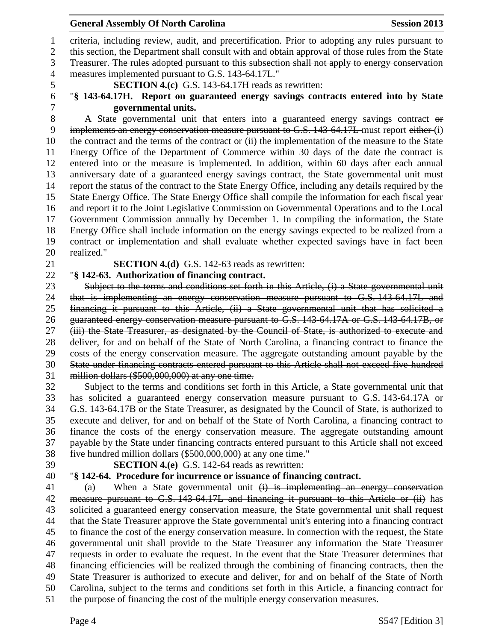criteria, including review, audit, and precertification. Prior to adopting any rules pursuant to

2 this section, the Department shall consult with and obtain approval of those rules from the State

 Treasurer. The rules adopted pursuant to this subsection shall not apply to energy conservation measures implemented pursuant to G.S. 143-64.17L."

**SECTION 4.(c)** G.S. 143-64.17H reads as rewritten:

## "**§ 143-64.17H. Report on guaranteed energy savings contracts entered into by State governmental units.**

 A State governmental unit that enters into a guaranteed energy savings contract or 9 implements an energy conservation measure pursuant to G.S. 143-64.17L must report either (i) the contract and the terms of the contract or (ii) the implementation of the measure to the State Energy Office of the Department of Commerce within 30 days of the date the contract is entered into or the measure is implemented. In addition, within 60 days after each annual anniversary date of a guaranteed energy savings contract, the State governmental unit must report the status of the contract to the State Energy Office, including any details required by the State Energy Office. The State Energy Office shall compile the information for each fiscal year and report it to the Joint Legislative Commission on Governmental Operations and to the Local Government Commission annually by December 1. In compiling the information, the State Energy Office shall include information on the energy savings expected to be realized from a contract or implementation and shall evaluate whether expected savings have in fact been realized."

**SECTION 4.(d)** G.S. 142-63 reads as rewritten:

## "**§ 142-63. Authorization of financing contract.**

23 Subject to the terms and conditions set forth in this Article, (i) a State governmental unit that is implementing an energy conservation measure pursuant to G.S. 143-64.17L and financing it pursuant to this Article, (ii) a State governmental unit that has solicited a guaranteed energy conservation measure pursuant to G.S. 143-64.17A or G.S. 143-64.17B, or (iii) the State Treasurer, as designated by the Council of State, is authorized to execute and deliver, for and on behalf of the State of North Carolina, a financing contract to finance the costs of the energy conservation measure. The aggregate outstanding amount payable by the State under financing contracts entered pursuant to this Article shall not exceed five hundred million dollars (\$500,000,000) at any one time.

 Subject to the terms and conditions set forth in this Article, a State governmental unit that has solicited a guaranteed energy conservation measure pursuant to G.S. 143-64.17A or G.S. 143-64.17B or the State Treasurer, as designated by the Council of State, is authorized to execute and deliver, for and on behalf of the State of North Carolina, a financing contract to finance the costs of the energy conservation measure. The aggregate outstanding amount payable by the State under financing contracts entered pursuant to this Article shall not exceed five hundred million dollars (\$500,000,000) at any one time."

**SECTION 4.(e)** G.S. 142-64 reads as rewritten:

## "**§ 142-64. Procedure for incurrence or issuance of financing contract.**

 (a) When a State governmental unit (i) is implementing an energy conservation 42 measure pursuant to G.S. 143-64.17L and financing it pursuant to this Article or (ii) has solicited a guaranteed energy conservation measure, the State governmental unit shall request that the State Treasurer approve the State governmental unit's entering into a financing contract to finance the cost of the energy conservation measure. In connection with the request, the State governmental unit shall provide to the State Treasurer any information the State Treasurer requests in order to evaluate the request. In the event that the State Treasurer determines that financing efficiencies will be realized through the combining of financing contracts, then the State Treasurer is authorized to execute and deliver, for and on behalf of the State of North Carolina, subject to the terms and conditions set forth in this Article, a financing contract for the purpose of financing the cost of the multiple energy conservation measures.